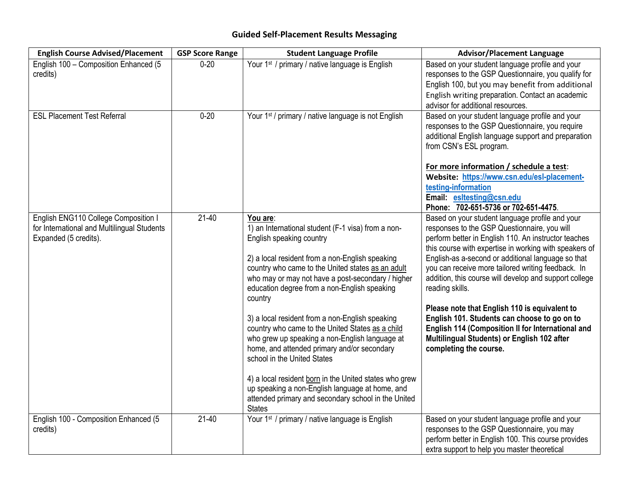## **Guided Self-Placement Results Messaging**

| <b>English Course Advised/Placement</b>                                                                      | <b>GSP Score Range</b> | <b>Student Language Profile</b>                                                                                                                                                                                                                                                                                                                                                                                                                                                                                                                                                                                                                                                                                                                | <b>Advisor/Placement Language</b>                                                                                                                                                                                                                                                                                                                                                                                                                                                                                                                                                                                                         |
|--------------------------------------------------------------------------------------------------------------|------------------------|------------------------------------------------------------------------------------------------------------------------------------------------------------------------------------------------------------------------------------------------------------------------------------------------------------------------------------------------------------------------------------------------------------------------------------------------------------------------------------------------------------------------------------------------------------------------------------------------------------------------------------------------------------------------------------------------------------------------------------------------|-------------------------------------------------------------------------------------------------------------------------------------------------------------------------------------------------------------------------------------------------------------------------------------------------------------------------------------------------------------------------------------------------------------------------------------------------------------------------------------------------------------------------------------------------------------------------------------------------------------------------------------------|
| English 100 - Composition Enhanced (5<br>credits)                                                            | $0 - 20$               | Your 1 <sup>st</sup> / primary / native language is English                                                                                                                                                                                                                                                                                                                                                                                                                                                                                                                                                                                                                                                                                    | Based on your student language profile and your<br>responses to the GSP Questionnaire, you qualify for<br>English 100, but you may benefit from additional<br>English writing preparation. Contact an academic<br>advisor for additional resources.                                                                                                                                                                                                                                                                                                                                                                                       |
| <b>ESL Placement Test Referral</b>                                                                           | $0 - 20$               | Your 1 <sup>st</sup> / primary / native language is not English                                                                                                                                                                                                                                                                                                                                                                                                                                                                                                                                                                                                                                                                                | Based on your student language profile and your<br>responses to the GSP Questionnaire, you require<br>additional English language support and preparation<br>from CSN's ESL program.                                                                                                                                                                                                                                                                                                                                                                                                                                                      |
|                                                                                                              |                        |                                                                                                                                                                                                                                                                                                                                                                                                                                                                                                                                                                                                                                                                                                                                                | For more information / schedule a test:<br>Website: https://www.csn.edu/esl-placement-<br>testing-information<br>Email: esitesting@csn.edu<br>Phone: 702-651-5736 or 702-651-4475.                                                                                                                                                                                                                                                                                                                                                                                                                                                        |
| English ENG110 College Composition I<br>for International and Multilingual Students<br>Expanded (5 credits). | $21-40$                | You are:<br>1) an International student (F-1 visa) from a non-<br>English speaking country<br>2) a local resident from a non-English speaking<br>country who came to the United states as an adult<br>who may or may not have a post-secondary / higher<br>education degree from a non-English speaking<br>country<br>3) a local resident from a non-English speaking<br>country who came to the United States as a child<br>who grew up speaking a non-English language at<br>home, and attended primary and/or secondary<br>school in the United States<br>4) a local resident born in the United states who grew<br>up speaking a non-English language at home, and<br>attended primary and secondary school in the United<br><b>States</b> | Based on your student language profile and your<br>responses to the GSP Questionnaire, you will<br>perform better in English 110. An instructor teaches<br>this course with expertise in working with speakers of<br>English-as a-second or additional language so that<br>you can receive more tailored writing feedback. In<br>addition, this course will develop and support college<br>reading skills.<br>Please note that English 110 is equivalent to<br>English 101. Students can choose to go on to<br>English 114 (Composition II for International and<br>Multilingual Students) or English 102 after<br>completing the course. |
| English 100 - Composition Enhanced (5<br>credits)                                                            | $21-40$                | Your 1 <sup>st</sup> / primary / native language is English                                                                                                                                                                                                                                                                                                                                                                                                                                                                                                                                                                                                                                                                                    | Based on your student language profile and your<br>responses to the GSP Questionnaire, you may<br>perform better in English 100. This course provides<br>extra support to help you master theoretical                                                                                                                                                                                                                                                                                                                                                                                                                                     |